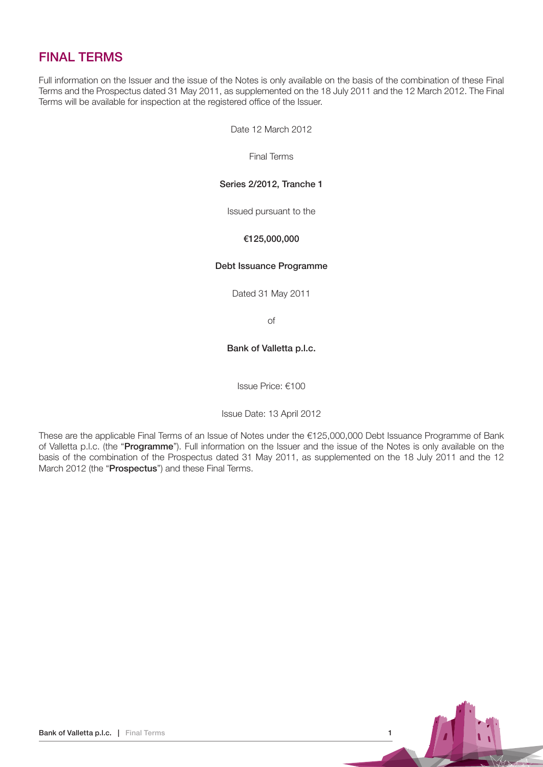# FINAL TERMS

Full information on the Issuer and the issue of the Notes is only available on the basis of the combination of these Final Terms and the Prospectus dated 31 May 2011, as supplemented on the 18 July 2011 and the 12 March 2012. The Final Terms will be available for inspection at the registered office of the Issuer.

Date 12 March 2012

Final Terms

# Series 2/2012, Tranche 1

Issued pursuant to the

# €125,000,000

## Debt Issuance Programme

Dated 31 May 2011

of

# Bank of Valletta p.l.c.

Issue Price: €100

Issue Date: 13 April 2012

These are the applicable Final Terms of an Issue of Notes under the €125,000,000 Debt Issuance Programme of Bank of Valletta p.l.c. (the "Programme"). Full information on the Issuer and the issue of the Notes is only available on the basis of the combination of the Prospectus dated 31 May 2011, as supplemented on the 18 July 2011 and the 12 March 2012 (the "Prospectus") and these Final Terms.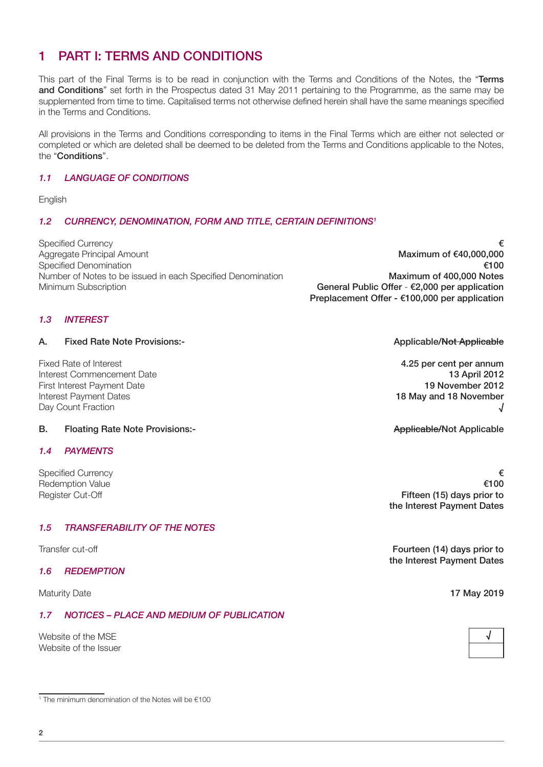# 1 Part I: Terms and Conditions

This part of the Final Terms is to be read in conjunction with the Terms and Conditions of the Notes, the "Terms and Conditions" set forth in the Prospectus dated 31 May 2011 pertaining to the Programme, as the same may be supplemented from time to time. Capitalised terms not otherwise defined herein shall have the same meanings specified in the Terms and Conditions.

All provisions in the Terms and Conditions corresponding to items in the Final Terms which are either not selected or completed or which are deleted shall be deemed to be deleted from the Terms and Conditions applicable to the Notes, the "Conditions".

# 1.1 Language of Conditions

English

# 1.2 CURRENCY, DENOMINATION, FORM AND TITLE, CERTAIN DEFINITIONS<sup>1</sup>

Specified Currency  $\epsilon$ Aggregate Principal Amount **Maximum of €40,000,000** Maximum of €40,000,000 Specified Denomination **€100** Number of Notes to be issued in each Specified Denomination Maximum of 400,000 Notes Minimum Subscription General Public Offer - €2,000 per application

Preplacement Offer - €100,000 per application

# 1.3 **INTEREST**

A. Fixed Rate Note Provisions:- And The State of Applicable/Not Applicable/Not Applicable

Fixed Rate of Interest **4.25 per cent per annum Interest Commencement Date** 13 April 2012 First Interest Payment Date 19 November 2012 Interest Payment Dates 18 May and 18 November Day Count Fraction √

## B. Floating Rate Note Provisions:- Applicable/Not Applicable/Not Applicable

## 1.4 Payments

## 1.5 Transferability of the Notes

## 1.6 Redemption

# 1.7 NOTICES – PLACE AND MEDIUM OF PUBLICATION

Website of the MSF Website of the Issuer

1 The minimum denomination of the Notes will be €100

Specified Currency  $\epsilon$ Redemption Value  $\epsilon$ 100 Register Cut-Off **Fifteen (15) days prior to** the Interest Payment Dates

Transfer cut-off **Fourteen (14) days prior to Fourteen (14) days prior to** the Interest Payment Dates

Maturity Date **17 May 2019**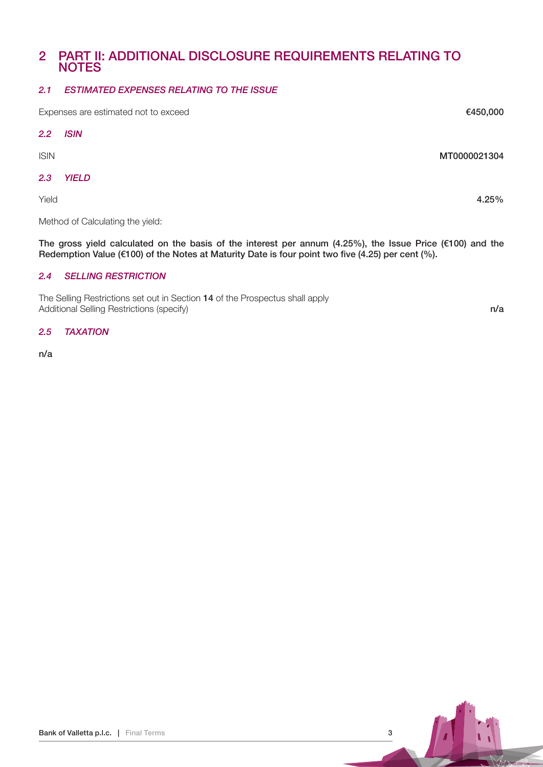# 2 Part II: Additional Disclosure Requirements Relating to **NOTES**

# 2.1 Estimated Expenses Relating to the Issue

Expenses are estimated not to exceed **€450,000** Expenses are estimated not to exceed  $2.2$ **ISIN** ISIN MT0000021304 2.3 Yield

Method of Calculating the yield:

The gross yield calculated on the basis of the interest per annum (4.25%), the Issue Price (€100) and the Redemption Value ( $\epsilon$ 100) of the Notes at Maturity Date is four point two five (4.25) per cent (%).

# 2.4 Selling Restriction

The Selling Restrictions set out in Section 14 of the Prospectus shall apply Additional Selling Restrictions (specify) n/a

#### 2.5 TAXATION

n/a

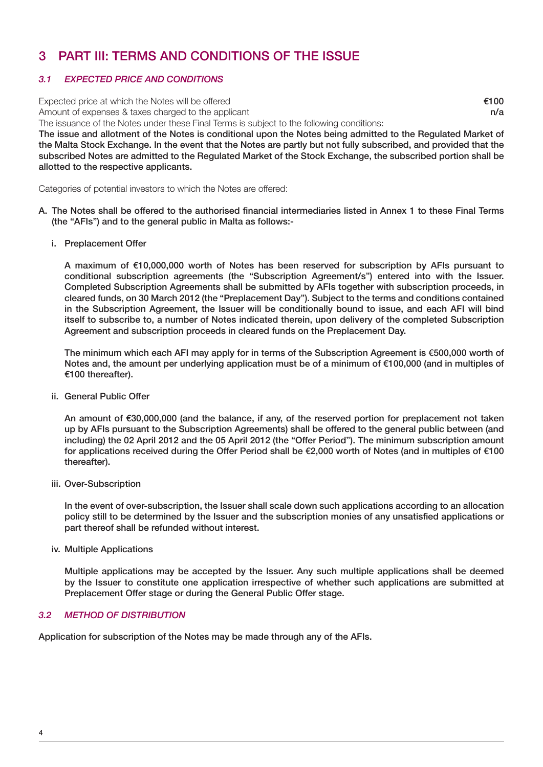# 3 Part iii: Terms and Conditions of the Issue

# 3.1 Expected Price and Conditions

Expected price at which the Notes will be offered  $\epsilon$ 100

Amount of expenses & taxes charged to the applicant notice and the set of the set of the set of the applicant n/a

The issuance of the Notes under these Final Terms is subject to the following conditions:

The issue and allotment of the Notes is conditional upon the Notes being admitted to the Regulated Market of the Malta Stock Exchange. In the event that the Notes are partly but not fully subscribed, and provided that the subscribed Notes are admitted to the Regulated Market of the Stock Exchange, the subscribed portion shall be allotted to the respective applicants.

Categories of potential investors to which the Notes are offered:

- A. The Notes shall be offered to the authorised financial intermediaries listed in Annex 1 to these Final Terms (the "AFIs") and to the general public in Malta as follows:
	- i. Preplacement Offer

 A maximum of €10,000,000 worth of Notes has been reserved for subscription by AFIs pursuant to conditional subscription agreements (the "Subscription Agreement/s") entered into with the Issuer. Completed Subscription Agreements shall be submitted by AFIs together with subscription proceeds, in cleared funds, on 30 March 2012 (the "Preplacement Day"). Subject to the terms and conditions contained in the Subscription Agreement, the Issuer will be conditionally bound to issue, and each AFI will bind itself to subscribe to, a number of Notes indicated therein, upon delivery of the completed Subscription Agreement and subscription proceeds in cleared funds on the Preplacement Day.

The minimum which each AFI may apply for in terms of the Subscription Agreement is €500,000 worth of Notes and, the amount per underlying application must be of a minimum of €100,000 (and in multiples of €100 thereafter).

ii. General Public Offer

 An amount of €30,000,000 (and the balance, if any, of the reserved portion for preplacement not taken up by AFIs pursuant to the Subscription Agreements) shall be offered to the general public between (and including) the 02 April 2012 and the 05 April 2012 (the "Offer Period"). The minimum subscription amount for applications received during the Offer Period shall be €2,000 worth of Notes (and in multiples of €100 thereafter).

iii. Over-Subscription

In the event of over-subscription, the Issuer shall scale down such applications according to an allocation policy still to be determined by the Issuer and the subscription monies of any unsatisfied applications or part thereof shall be refunded without interest.

iv. Multiple Applications

 Multiple applications may be accepted by the Issuer. Any such multiple applications shall be deemed by the Issuer to constitute one application irrespective of whether such applications are submitted at Preplacement Offer stage or during the General Public Offer stage.

# 3.2 Method of Distribution

Application for subscription of the Notes may be made through any of the AFIs.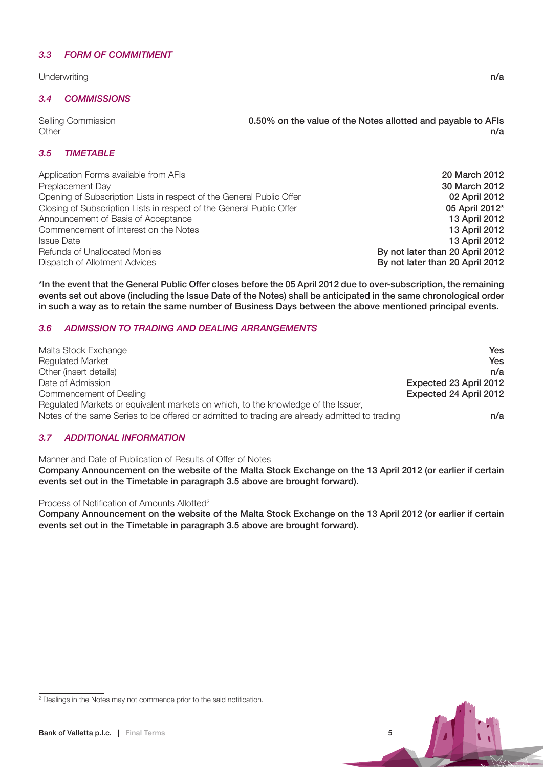#### 3.3 Form of Commitment

Underwriting **n/a** 

#### 3.4 Commissions

Selling Commission 0.50% on the value of the Notes allotted and payable to AFIs Other **n/a** and the contract of the contract of the contract of the contract of the contract of the contract of the contract of the contract of the contract of the contract of the contract of the contract of the contract o

#### 3.5 TIMETABLE

Application Forms available from AFIs 20 March 2012 Preplacement Day 30 March 2012 Opening of Subscription Lists in respect of the General Public Offer **1992 Connect 102 April 2012** Closing of Subscription Lists in respect of the General Public Offer **05 April 2012**\* Announcement of Basis of Acceptance 13 April 2012 Commencement of Interest on the Notes 13 April 2012 Issue Date 13 April 2012 Refunds of Unallocated Monies **By not later than 20 April 2012 By not later than 20 April 2012** Dispatch of Allotment Advices By not later than 20 April 2012

\*In the event that the General Public Offer closes before the 05 April 2012 due to over-subscription, the remaining events set out above (including the Issue Date of the Notes) shall be anticipated in the same chronological order in such a way as to retain the same number of Business Days between the above mentioned principal events.

## 3.6 Admission to Trading and Dealing Arrangements

| Malta Stock Exchange                                                                                                                                                               | Yes                    |
|------------------------------------------------------------------------------------------------------------------------------------------------------------------------------------|------------------------|
| <b>Regulated Market</b>                                                                                                                                                            | Yes                    |
| Other (insert details)                                                                                                                                                             | n/a                    |
| Date of Admission                                                                                                                                                                  | Expected 23 April 2012 |
| Commencement of Dealing                                                                                                                                                            | Expected 24 April 2012 |
| Regulated Markets or equivalent markets on which, to the knowledge of the Issuer,<br>Notes of the same Series to be offered or admitted to trading are already admitted to trading | n/a                    |

## 3.7 Additional Information

Manner and Date of Publication of Results of Offer of Notes

Company Announcement on the website of the Malta Stock Exchange on the 13 April 2012 (or earlier if certain events set out in the Timetable in paragraph 3.5 above are brought forward).

Process of Notification of Amounts Allotted<sup>2</sup>

Company Announcement on the website of the Malta Stock Exchange on the 13 April 2012 (or earlier if certain events set out in the Timetable in paragraph 3.5 above are brought forward).



<sup>&</sup>lt;sup>2</sup> Dealings in the Notes may not commence prior to the said notification.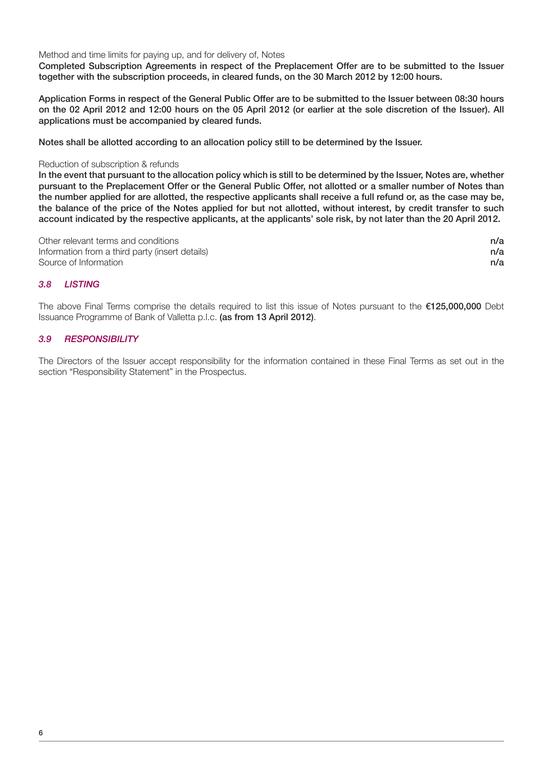Method and time limits for paying up, and for delivery of, Notes

Completed Subscription Agreements in respect of the Preplacement Offer are to be submitted to the Issuer together with the subscription proceeds, in cleared funds, on the 30 March 2012 by 12:00 hours.

Application Forms in respect of the General Public Offer are to be submitted to the Issuer between 08:30 hours on the 02 April 2012 and 12:00 hours on the 05 April 2012 (or earlier at the sole discretion of the Issuer). All applications must be accompanied by cleared funds.

Notes shall be allotted according to an allocation policy still to be determined by the Issuer.

#### Reduction of subscription & refunds

In the event that pursuant to the allocation policy which is still to be determined by the Issuer, Notes are, whether pursuant to the Preplacement Offer or the General Public Offer, not allotted or a smaller number of Notes than the number applied for are allotted, the respective applicants shall receive a full refund or, as the case may be, the balance of the price of the Notes applied for but not allotted, without interest, by credit transfer to such account indicated by the respective applicants, at the applicants' sole risk, by not later than the 20 April 2012.

| Other relevant terms and conditions             | n/a |
|-------------------------------------------------|-----|
| Information from a third party (insert details) | n/a |
| Source of Information                           | n/a |

## 3.8 Listing

The above Final Terms comprise the details required to list this issue of Notes pursuant to the €125,000,000 Debt Issuance Programme of Bank of Valletta p.l.c. (as from 13 April 2012).

# 3.9 Responsibility

The Directors of the Issuer accept responsibility for the information contained in these Final Terms as set out in the section "Responsibility Statement" in the Prospectus.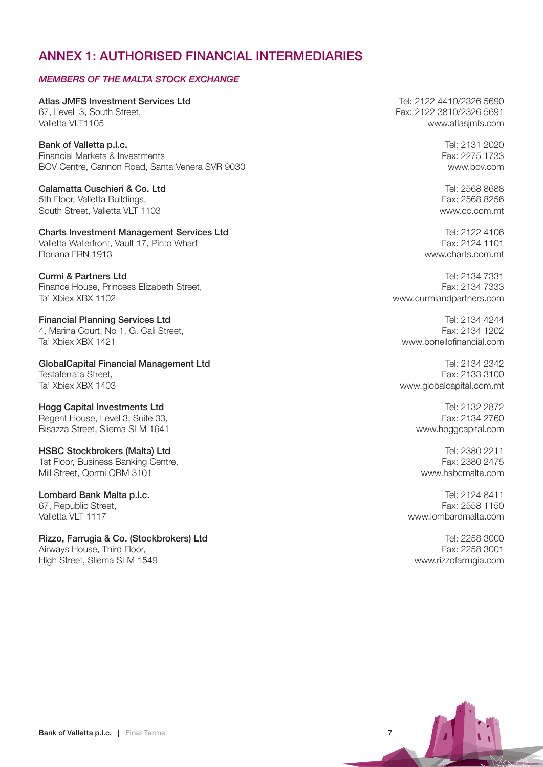# ANNEX 1: AUTHORISED FINANCIAL INTERMEDIARIES

# MEMBERS OF THE MALTA STOCK EXCHANGE

Atlas JMFS Investment Services Ltd **Tel: 2122 4410/2326 5690** 67, Level 3, South Street, Fax: 2122 3810/2326 5691 Valletta VLT1105 www.atlasjmfs.com

Bank of Valletta p.l.c. **Example 2020 Bank of Valletta p.l.c.** Tel: 2131 2020 Financial Markets & Investments Fax: 2275 1733 BOV Centre, Cannon Road, Santa Venera SVR 9030 www.bov.com

**Calamatta Cuschieri & Co. Ltd** Tel: 2568 8688 5th Floor, Valletta Buildings, Fax: 2568 8256 South Street, Valletta VLT 1103 www.cc.com.mt

# Charts Investment Management Services Ltd Tel: 2122 4106

Valletta Waterfront, Vault 17, Pinto Wharf Fax: 2124 1101<br>Floriana FRN 1913

Finance House, Princess Elizabeth Street, Fax: 2134 7333 Ta' Xbiex XBX 1102 www.curmiandpartners.com

**Financial Planning Services Ltd** Tel: 2134 4244 4, Marina Court, No 1, G. Cali Street, Fax: 2134 1202 Ta' Xbiex XBX 1421 www.bonellofinancial.com

GlobalCapital Financial Management Ltd **Tel: 2134 2342** Tel: 2134 2342 Testaferrata Street,<br>Ta' Xbiex XBX 1403 3100<br>Ta' Xbiex XBX 1403

Hogg Capital Investments Ltd **Tel: 2132 2872** Regent House, Level 3, Suite 33, Fax: 2134 2760 Bisazza Street, Sliema SLM 1641 www.hoggcapital.com

# HSBC Stockbrokers (Malta) Ltd **Tel: 2380 2211**

1st Floor, Business Banking Centre, Fax: 2380 2475 Mill Street, Qormi QRM 3101 www.hsbcmalta.com

67, Republic Street.

Rizzo, Farrugia & Co. (Stockbrokers) Ltd Tel: 2258 3000 Airways House, Third Floor, The Contract of the Contract of the Contract of the Contract of Tax: 2258 3001 High Street, Sliema SLM 1549 www.rizzofarrugia.com

www.charts.com.mt

**Curmi & Partners Ltd** Tel: 2134 7331

www.globalcapital.com.mt

**Lombard Bank Malta p.l.c. Exercise 2018** 12:2124 8411<br>
67 Republic Street **Exercise 2018** Valletta VLT 1117 www.lombardmalta.com